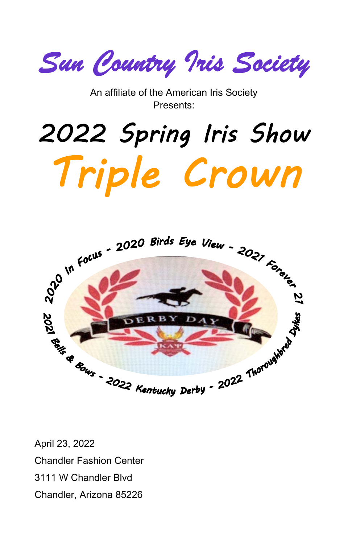*Sun Country Iris Society* 

An affiliate of the American Iris Society Presents:

# 2022 Spring Iris Show Triple Crown



April 23, 2022 Chandler Fashion Center 3111 W Chandler Blvd Chandler, Arizona 85226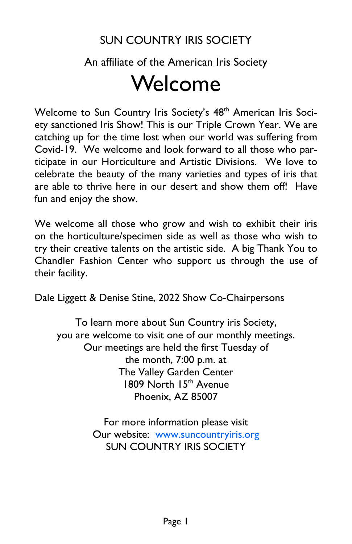# SUN COUNTRY IRIS SOCIETY

# An affiliate of the American Iris Society Welcome

Welcome to Sun Country Iris Society's 48<sup>th</sup> American Iris Society sanctioned Iris Show! This is our Triple Crown Year. We are catching up for the time lost when our world was suffering from Covid-19. We welcome and look forward to all those who participate in our Horticulture and Artistic Divisions. We love to celebrate the beauty of the many varieties and types of iris that are able to thrive here in our desert and show them off! Have fun and enjoy the show.

We welcome all those who grow and wish to exhibit their iris on the horticulture/specimen side as well as those who wish to try their creative talents on the artistic side. A big Thank You to Chandler Fashion Center who support us through the use of their facility.

Dale Liggett & Denise Stine, 2022 Show Co-Chairpersons

To learn more about Sun Country iris Society, you are welcome to visit one of our monthly meetings. Our meetings are held the first Tuesday of the month, 7:00 p.m. at The Valley Garden Center 1809 North 15<sup>th</sup> Avenue Phoenix, AZ 85007

> For more information please visit Our website: www.suncountryiris.org SUN COUNTRY IRIS SOCIETY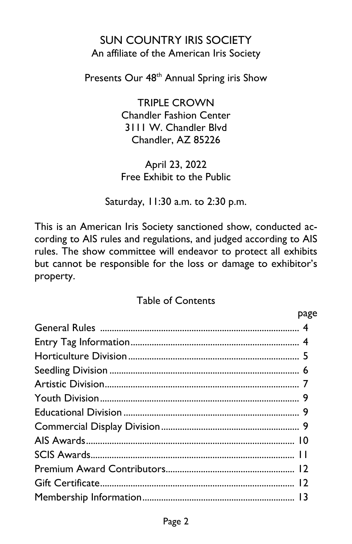#### SUN COUNTRY IRIS SOCIETY An affiliate of the American Iris Society

Presents Our 48<sup>th</sup> Annual Spring iris Show

TRIPLE CROWN Chandler Fashion Center 3111 W. Chandler Blvd Chandler, AZ 85226

April 23, 2022 Free Exhibit to the Public

Saturday, 11:30 a.m. to 2:30 p.m.

This is an American Iris Society sanctioned show, conducted according to AIS rules and regulations, and judged according to AIS rules. The show committee will endeavor to protect all exhibits but cannot be responsible for the loss or damage to exhibitor's property.

#### Table of Contents

| page |
|------|
|      |
|      |
|      |
|      |
|      |
|      |
|      |
|      |
|      |
|      |
|      |
|      |
|      |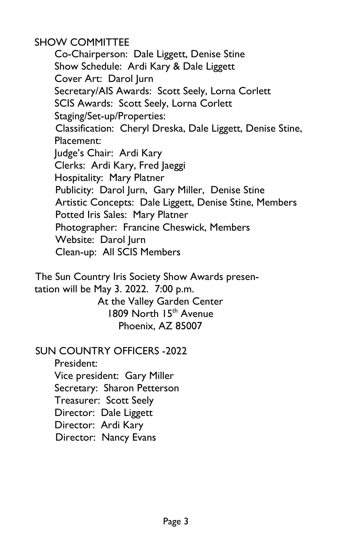SHOW COMMITTEE

Co-Chairperson: Dale Liggett, Denise Stine Show Schedule: Ardi Kary & Dale Liggett Cover Art: Darol Jurn Secretary/AIS Awards: Scott Seely, Lorna Corlett SCIS Awards: Scott Seely, Lorna Corlett Staging/Set-up/Properties: Classification: Cheryl Dreska, Dale Liggett, Denise Stine, Placement: Judge's Chair: Ardi Kary Clerks: Ardi Kary, Fred Jaeggi Hospitality: Mary Platner Publicity: Darol Jurn, Gary Miller, Denise Stine Artistic Concepts: Dale Liggett, Denise Stine, Members Potted Iris Sales: Mary Platner Photographer: Francine Cheswick, Members Website: Darol Jurn Clean-up: All SCIS Members

The Sun Country Iris Society Show Awards presentation will be May 3. 2022. 7:00 p.m. At the Valley Garden Center 1809 North 15<sup>th</sup> Avenue Phoenix, AZ 85007

#### SUN COUNTRY OFFICERS -2022

President: Vice president: Gary Miller Secretary: Sharon Petterson Treasurer: Scott Seely Director: Dale Liggett Director: Ardi Kary Director: Nancy Evans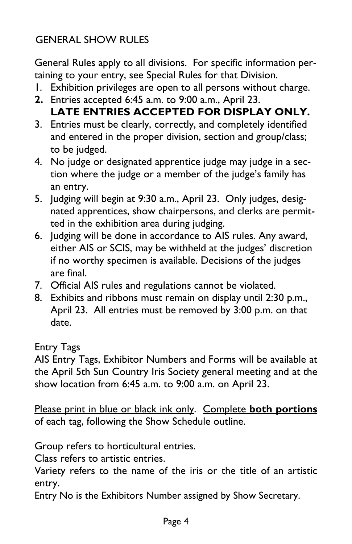# GENERAL SHOW RULES

General Rules apply to all divisions. For specific information pertaining to your entry, see Special Rules for that Division.

- 1. Exhibition privileges are open to all persons without charge.
- **2.** Entries accepted 6:45 a.m. to 9:00 a.m., April 23.
- **LATE ENTRIES ACCEPTED FOR DISPLAY ONLY.**
- 3. Entries must be clearly, correctly, and completely identified and entered in the proper division, section and group/class; to be judged.
- 4. No judge or designated apprentice judge may judge in a section where the judge or a member of the judge's family has an entry.
- 5. Judging will begin at 9:30 a.m., April 23. Only judges, designated apprentices, show chairpersons, and clerks are permitted in the exhibition area during judging.
- 6. Judging will be done in accordance to AIS rules. Any award, either AIS or SCIS, may be withheld at the judges' discretion if no worthy specimen is available. Decisions of the judges are final.
- 7. Official AIS rules and regulations cannot be violated.
- 8. Exhibits and ribbons must remain on display until 2:30 p.m., April 23. All entries must be removed by 3:00 p.m. on that date.

Entry Tags

AIS Entry Tags, Exhibitor Numbers and Forms will be available at the April 5th Sun Country Iris Society general meeting and at the show location from 6:45 a.m. to 9:00 a.m. on April 23.

Please print in blue or black ink only. Complete **both portions** of each tag, following the Show Schedule outline.

Group refers to horticultural entries.

Class refers to artistic entries.

Variety refers to the name of the iris or the title of an artistic entry.

Entry No is the Exhibitors Number assigned by Show Secretary.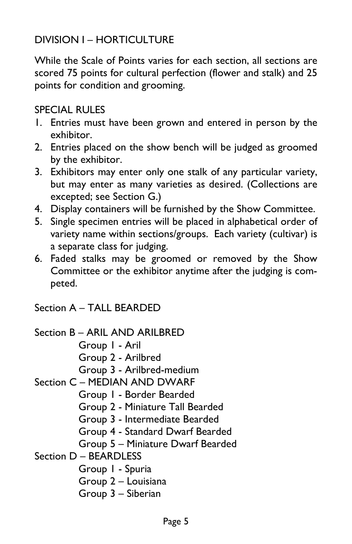# DIVISION I – HORTICULTURE

While the Scale of Points varies for each section, all sections are scored 75 points for cultural perfection (flower and stalk) and 25 points for condition and grooming.

#### SPECIAL RULES

- 1. Entries must have been grown and entered in person by the exhibitor.
- 2. Entries placed on the show bench will be judged as groomed by the exhibitor.
- 3. Exhibitors may enter only one stalk of any particular variety, but may enter as many varieties as desired. (Collections are excepted; see Section G.)
- 4. Display containers will be furnished by the Show Committee.
- 5. Single specimen entries will be placed in alphabetical order of variety name within sections/groups. Each variety (cultivar) is a separate class for judging.
- 6. Faded stalks may be groomed or removed by the Show Committee or the exhibitor anytime after the judging is competed.

Section A – TALL BEARDED

```
Section B – ARIL AND ARILBRED 
          Group 1 - Aril 
          Group 2 - Arilbred 
           Group 3 - Arilbred-medium 
Section C – MEDIAN AND DWARF 
           Group 1 - Border Bearded 
           Group 2 - Miniature Tall Bearded 
           Group 3 - Intermediate Bearded 
           Group 4 - Standard Dwarf Bearded 
          Group 5 – Miniature Dwarf Bearded 
Section D – BEARDLESS 
           Group 1 - Spuria 
           Group 2 – Louisiana 
          Group 3 – Siberian
```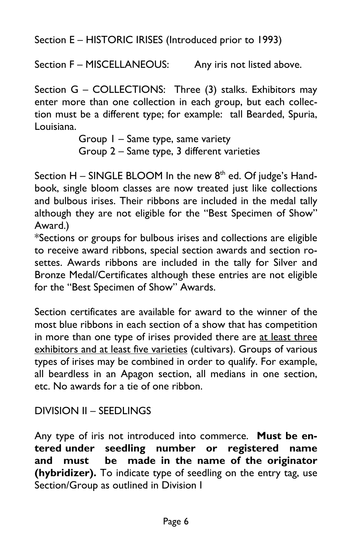Section E – HISTORIC IRISES (Introduced prior to 1993)

Section F – MISCELLANEOUS: Any iris not listed above.

Section G – COLLECTIONS: Three (3) stalks. Exhibitors may enter more than one collection in each group, but each collection must be a different type; for example: tall Bearded, Spuria, Louisiana.

> Group 1 – Same type, same variety Group 2 – Same type, 3 different varieties

Section  $H$  – SINGLE BLOOM In the new  $8<sup>th</sup>$  ed. Of judge's Handbook, single bloom classes are now treated just like collections and bulbous irises. Their ribbons are included in the medal tally although they are not eligible for the "Best Specimen of Show" Award.)

\*Sections or groups for bulbous irises and collections are eligible to receive award ribbons, special section awards and section rosettes. Awards ribbons are included in the tally for Silver and Bronze Medal/Certificates although these entries are not eligible for the "Best Specimen of Show" Awards.

Section certificates are available for award to the winner of the most blue ribbons in each section of a show that has competition in more than one type of irises provided there are at least three exhibitors and at least five varieties (cultivars). Groups of various types of irises may be combined in order to qualify. For example, all beardless in an Apagon section, all medians in one section, etc. No awards for a tie of one ribbon.

#### DIVISION II – SEEDLINGS

Any type of iris not introduced into commerce. **Must be entered under seedling number or registered name and must be made in the name of the originator (hybridizer).** To indicate type of seedling on the entry tag, use Section/Group as outlined in Division I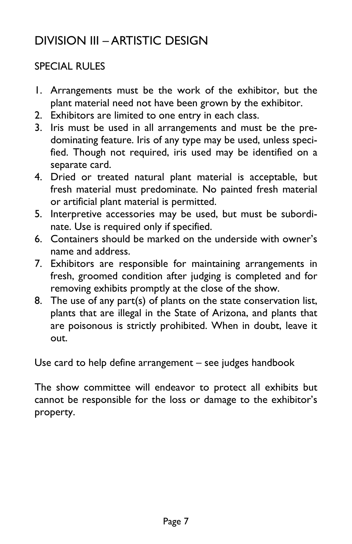# DIVISION III – ARTISTIC DESIGN

### SPECIAL RULES

- 1. Arrangements must be the work of the exhibitor, but the plant material need not have been grown by the exhibitor.
- 2. Exhibitors are limited to one entry in each class.
- 3. Iris must be used in all arrangements and must be the predominating feature. Iris of any type may be used, unless specified. Though not required, iris used may be identified on a separate card.
- 4. Dried or treated natural plant material is acceptable, but fresh material must predominate. No painted fresh material or artificial plant material is permitted.
- 5. Interpretive accessories may be used, but must be subordinate. Use is required only if specified.
- 6. Containers should be marked on the underside with owner's name and address.
- 7. Exhibitors are responsible for maintaining arrangements in fresh, groomed condition after judging is completed and for removing exhibits promptly at the close of the show.
- 8. The use of any part(s) of plants on the state conservation list, plants that are illegal in the State of Arizona, and plants that are poisonous is strictly prohibited. When in doubt, leave it out.

Use card to help define arrangement – see judges handbook

The show committee will endeavor to protect all exhibits but cannot be responsible for the loss or damage to the exhibitor's property.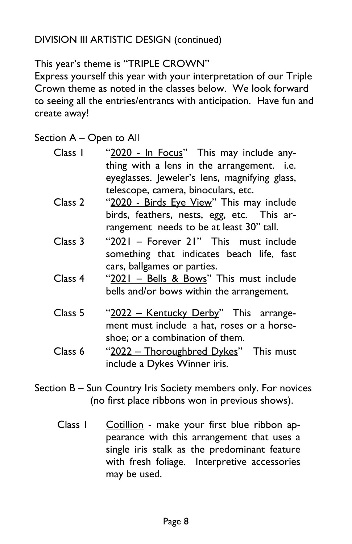#### DIVISION III ARTISTIC DESIGN (continued)

#### This year's theme is "TRIPLE CROWN"

Express yourself this year with your interpretation of our Triple Crown theme as noted in the classes below. We look forward to seeing all the entries/entrants with anticipation. Have fun and create away!

Section A – Open to All

| Class 1 | "2020 - In Focus" This may include any-       |
|---------|-----------------------------------------------|
|         | thing with a lens in the arrangement. i.e.    |
|         | eyeglasses. Jeweler's lens, magnifying glass, |
|         | telescope, camera, binoculars, etc.           |
| Class 2 | "2020 - Birds Eye View" This may include      |
|         | birds, feathers, nests, egg, etc. This ar-    |

- rangement needs to be at least 30" tall.
- Class 3 "2021 Forever 21" This must include something that indicates beach life, fast cars, ballgames or parties.
- Class 4 "2021 Bells & Bows" This must include bells and/or bows within the arrangement.
- Class 5 "2022 Kentucky Derby" This arrangement must include a hat, roses or a horseshoe; or a combination of them.
- Class 6 "2022 Thoroughbred Dykes" This must include a Dykes Winner iris.
- Section B Sun Country Iris Society members only. For novices (no first place ribbons won in previous shows).
	- Class 1 Cotillion make your first blue ribbon appearance with this arrangement that uses a single iris stalk as the predominant feature with fresh foliage. Interpretive accessories may be used.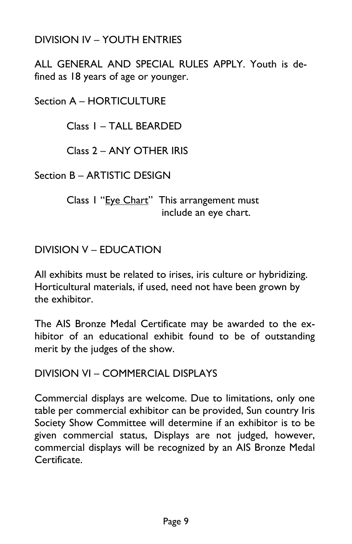#### DIVISION IV – YOUTH ENTRIES

ALL GENERAL AND SPECIAL RULES APPLY. Youth is defined as 18 years of age or younger.

Section A – HORTICULTURE

Class 1 – TALL BEARDED

Class 2 – ANY OTHER IRIS

Section B – ARTISTIC DESIGN

Class I "Eye Chart" This arrangement must include an eye chart.

DIVISION V – EDUCATION

All exhibits must be related to irises, iris culture or hybridizing. Horticultural materials, if used, need not have been grown by the exhibitor.

The AIS Bronze Medal Certificate may be awarded to the exhibitor of an educational exhibit found to be of outstanding merit by the judges of the show.

DIVISION VI – COMMERCIAL DISPLAYS

Commercial displays are welcome. Due to limitations, only one table per commercial exhibitor can be provided, Sun country Iris Society Show Committee will determine if an exhibitor is to be given commercial status, Displays are not judged, however, commercial displays will be recognized by an AIS Bronze Medal Certificate.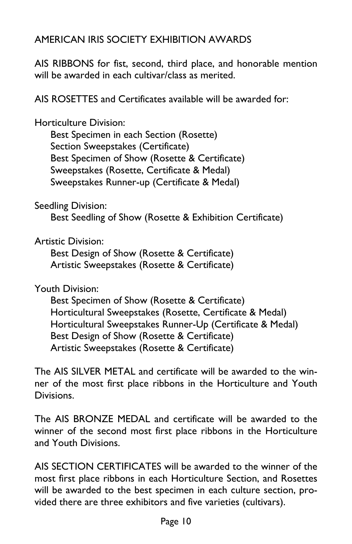### AMERICAN IRIS SOCIETY EXHIBITION AWARDS

AIS RIBBONS for fist, second, third place, and honorable mention will be awarded in each cultivar/class as merited.

AIS ROSETTES and Certificates available will be awarded for:

Horticulture Division:

Best Specimen in each Section (Rosette) Section Sweepstakes (Certificate) Best Specimen of Show (Rosette & Certificate) Sweepstakes (Rosette, Certificate & Medal) Sweepstakes Runner-up (Certificate & Medal)

Seedling Division:

Best Seedling of Show (Rosette & Exhibition Certificate)

Artistic Division:

Best Design of Show (Rosette & Certificate) Artistic Sweepstakes (Rosette & Certificate)

Youth Division:

Best Specimen of Show (Rosette & Certificate) Horticultural Sweepstakes (Rosette, Certificate & Medal) Horticultural Sweepstakes Runner-Up (Certificate & Medal) Best Design of Show (Rosette & Certificate) Artistic Sweepstakes (Rosette & Certificate)

The AIS SILVER METAL and certificate will be awarded to the winner of the most first place ribbons in the Horticulture and Youth Divisions.

The AIS BRONZE MEDAL and certificate will be awarded to the winner of the second most first place ribbons in the Horticulture and Youth Divisions.

AIS SECTION CERTIFICATES will be awarded to the winner of the most first place ribbons in each Horticulture Section, and Rosettes will be awarded to the best specimen in each culture section, provided there are three exhibitors and five varieties (cultivars).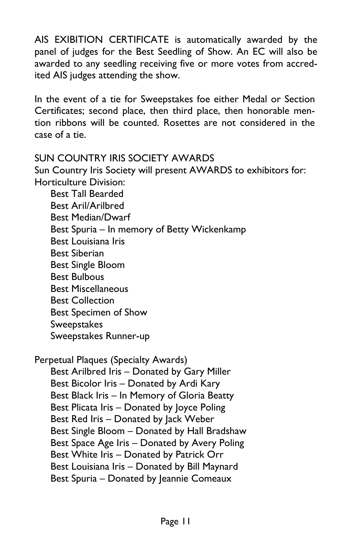AIS EXIBITION CERTIFICATE is automatically awarded by the panel of judges for the Best Seedling of Show. An EC will also be awarded to any seedling receiving five or more votes from accredited AIS judges attending the show.

In the event of a tie for Sweepstakes foe either Medal or Section Certificates; second place, then third place, then honorable mention ribbons will be counted. Rosettes are not considered in the case of a tie.

#### SUN COUNTRY IRIS SOCIETY AWARDS

Sun Country Iris Society will present AWARDS to exhibitors for: Horticulture Division:

Best Tall Bearded Best Aril/Arilbred Best Median/Dwarf Best Spuria – In memory of Betty Wickenkamp Best Louisiana Iris Best Siberian Best Single Bloom Best Bulbous Best Miscellaneous Best Collection Best Specimen of Show **Sweepstakes** Sweepstakes Runner-up

Perpetual Plaques (Specialty Awards) Best Arilbred Iris – Donated by Gary Miller Best Bicolor Iris – Donated by Ardi Kary Best Black Iris – In Memory of Gloria Beatty Best Plicata Iris – Donated by Joyce Poling Best Red Iris – Donated by Jack Weber Best Single Bloom – Donated by Hall Bradshaw Best Space Age Iris – Donated by Avery Poling

Best White Iris – Donated by Patrick Orr

Best Louisiana Iris – Donated by Bill Maynard

Best Spuria – Donated by Jeannie Comeaux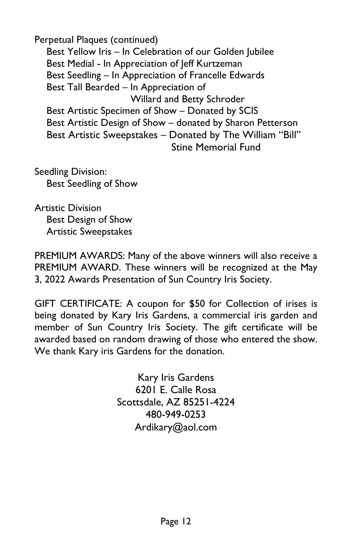Perpetual Plaques (continued) Best Yellow Iris – In Celebration of our Golden Jubilee Best Medial - In Appreciation of Jeff Kurtzeman Best Seedling – In Appreciation of Francelle Edwards Best Tall Bearded – In Appreciation of Willard and Betty Schroder Best Artistic Specimen of Show – Donated by SCIS Best Artistic Design of Show – donated by Sharon Petterson Best Artistic Sweepstakes – Donated by The William "Bill" Stine Memorial Fund

Seedling Division: Best Seedling of Show

Artistic Division Best Design of Show Artistic Sweepstakes

PREMIUM AWARDS: Many of the above winners will also receive a PREMIUM AWARD. These winners will be recognized at the May 3, 2022 Awards Presentation of Sun Country Iris Society.

GIFT CERTIFICATE: A coupon for \$50 for Collection of irises is being donated by Kary Iris Gardens, a commercial iris garden and member of Sun Country Iris Society. The gift certificate will be awarded based on random drawing of those who entered the show. We thank Kary iris Gardens for the donation.

> Kary Iris Gardens 6201 E. Calle Rosa Scottsdale, AZ 85251-4224 480-949-0253 Ardikary@aol.com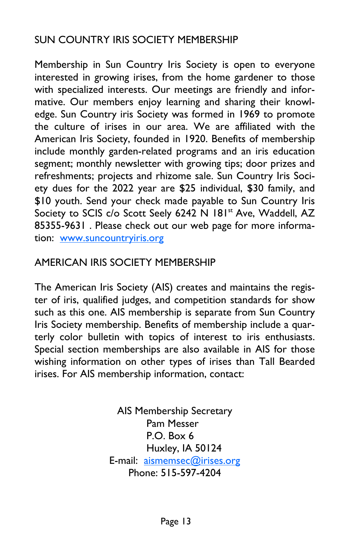### SUN COUNTRY IRIS SOCIETY MEMBERSHIP

Membership in Sun Country Iris Society is open to everyone interested in growing irises, from the home gardener to those with specialized interests. Our meetings are friendly and informative. Our members enjoy learning and sharing their knowledge. Sun Country iris Society was formed in 1969 to promote the culture of irises in our area. We are affiliated with the American Iris Society, founded in 1920. Benefits of membership include monthly garden-related programs and an iris education segment; monthly newsletter with growing tips; door prizes and refreshments; projects and rhizome sale. Sun Country Iris Society dues for the 2022 year are \$25 individual, \$30 family, and \$10 youth. Send your check made payable to Sun Country Iris Society to SCIS c/o Scott Seely 6242 N 181<sup>st</sup> Ave, Waddell, AZ 85355-9631 . Please check out our web page for more information: www.suncountryiris.org

#### AMERICAN IRIS SOCIETY MEMBERSHIP

The American Iris Society (AIS) creates and maintains the register of iris, qualified judges, and competition standards for show such as this one. AIS membership is separate from Sun Country Iris Society membership. Benefits of membership include a quarterly color bulletin with topics of interest to iris enthusiasts. Special section memberships are also available in AIS for those wishing information on other types of irises than Tall Bearded irises. For AIS membership information, contact:

> AIS Membership Secretary Pam Messer P.O. Box 6 Huxley, IA 50124 E-mail: aismemsec@irises.org Phone: 515-597-4204